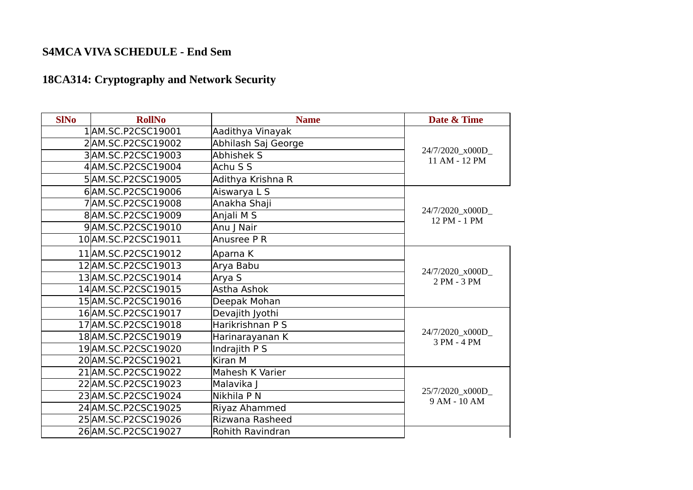# **18CA314: Cryptography and Network Security**

| <b>SINo</b> | <b>RollNo</b>       | <b>Name</b>             | Date & Time                       |
|-------------|---------------------|-------------------------|-----------------------------------|
|             | 1AM.SC.P2CSC19001   | Aadithya Vinayak        |                                   |
|             | 2AM.SC.P2CSC19002   | Abhilash Saj George     |                                   |
|             | 3AM.SC.P2CSC19003   | Abhishek S              | 24/7/2020_x000D_<br>11 AM - 12 PM |
|             | 4AM.SC.P2CSC19004   | Achu S S                |                                   |
|             | 5AM.SC.P2CSC19005   | Adithya Krishna R       |                                   |
|             | 6AM.SC.P2CSC19006   | Aiswarya L S            |                                   |
|             | 7AM.SC.P2CSC19008   | Anakha Shaji            |                                   |
|             | 8AM.SC.P2CSC19009   | Anjali M S              | 24/7/2020_x000D_<br>12 PM - 1 PM  |
|             | 9AM.SC.P2CSC19010   | Anu J Nair              |                                   |
|             | 10 AM.SC.P2CSC19011 | Anusree P R             |                                   |
|             | 11 AM.SC.P2CSC19012 | Aparna K                |                                   |
|             | 12AM.SC.P2CSC19013  | Arya Babu               | 24/7/2020_x000D_                  |
|             | 13AM.SC.P2CSC19014  | Arya S                  | 2 PM - 3 PM                       |
|             | 14 AM.SC.P2CSC19015 | Astha Ashok             |                                   |
|             | 15AM.SC.P2CSC19016  | Deepak Mohan            |                                   |
|             | 16AM.SC.P2CSC19017  | Devajith Jyothi         |                                   |
|             | 17 AM.SC.P2CSC19018 | Harikrishnan P S        |                                   |
|             | 18 AM.SC.P2CSC19019 | Harinarayanan K         | 24/7/2020 x000D<br>3 PM - 4 PM    |
|             | 19AM.SC.P2CSC19020  | Indrajith P S           |                                   |
|             | 20 AM.SC.P2CSC19021 | Kiran M                 |                                   |
|             | 21 AM.SC.P2CSC19022 | Mahesh K Varier         |                                   |
|             | 22 AM.SC.P2CSC19023 | Malavika J              |                                   |
|             | 23 AM.SC.P2CSC19024 | Nikhila P N             | 25/7/2020 x000D<br>9 AM - 10 AM   |
|             | 24 AM.SC.P2CSC19025 | Riyaz Ahammed           |                                   |
|             | 25 AM.SC.P2CSC19026 | Rizwana Rasheed         |                                   |
|             | 26 AM.SC.P2CSC19027 | <b>Rohith Ravindran</b> |                                   |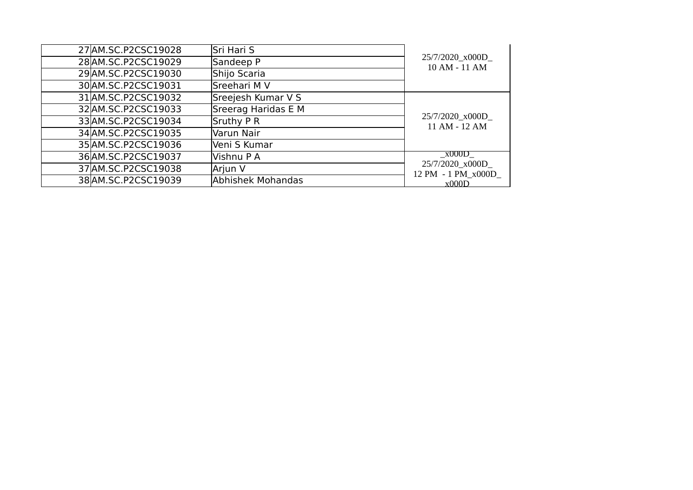| 27 AM.SC.P2CSC19028 | Sri Hari S          |                                        |
|---------------------|---------------------|----------------------------------------|
|                     |                     | 25/7/2020_x000D_                       |
| 28 AM.SC.P2CSC19029 | Sandeep P           | 10 AM - 11 AM                          |
| 29 AM.SC.P2CSC19030 | Shijo Scaria        |                                        |
| 30 AM.SC.P2CSC19031 | Sreehari M V        |                                        |
| 31 AM.SC.P2CSC19032 | Sreejesh Kumar V S  |                                        |
| 32 AM.SC.P2CSC19033 | Sreerag Haridas E M |                                        |
| 33 AM.SC.P2CSC19034 | Sruthy P R          | 25/7/2020_x000D_<br>11 AM - 12 AM      |
| 34 AM.SC.P2CSC19035 | Varun Nair          |                                        |
| 35 AM.SC.P2CSC19036 | Veni S Kumar        |                                        |
| 36 AM.SC.P2CSC19037 | Vishnu P A          | x000D                                  |
| 37 AM.SC.P2CSC19038 | Arjun V             | 25/7/2020_x000D_<br>12 PM - 1 PM x000D |
| 38 AM.SC.P2CSC19039 | Abhishek Mohandas   | x000D                                  |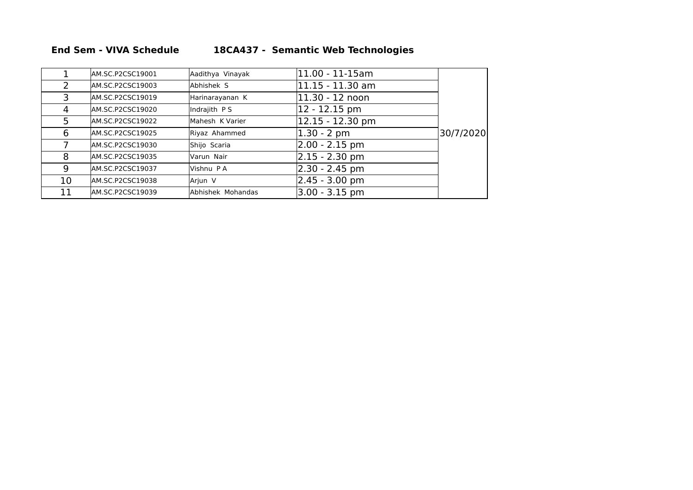#### **End Sem - VIVA Schedule 18CA437 - Semantic Web Technologies**

|               | AM.SC.P2CSC19001  | Aadithya Vinayak  | 11.00 - 11-15am     |           |
|---------------|-------------------|-------------------|---------------------|-----------|
| $\mathcal{L}$ | AM.SC.P2CSC19003  | Abhishek S        | 11.15 - 11.30 am    |           |
| 3             | AM.SC.P2CSC19019  | Harinarayanan K   | 11.30 - 12 noon     |           |
| 4             | lAM.SC.P2CSC19020 | Indrajith PS      | 12 - 12.15 pm       |           |
| 5             | AM.SC.P2CSC19022  | Mahesh K Varier   | $ 12.15 - 12.30$ pm |           |
| 6             | lAM.SC.P2CSC19025 | Riyaz Ahammed     | 1.30 - 2 pm         | 30/7/2020 |
|               | lAM.SC.P2CSC19030 | Shijo Scaria      | $2.00 - 2.15$ pm    |           |
| 8             | lAM.SC.P2CSC19035 | Varun Nair        | $ 2.15 - 2.30$ pm   |           |
| 9             | AM.SC.P2CSC19037  | Vishnu PA         | 2.30 - 2.45 pm      |           |
| 10            | lAM.SC.P2CSC19038 | Arjun V           | $2.45 - 3.00$ pm    |           |
| 11            | lAM.SC.P2CSC19039 | Abhishek Mohandas | 3.00 - 3.15 pm      |           |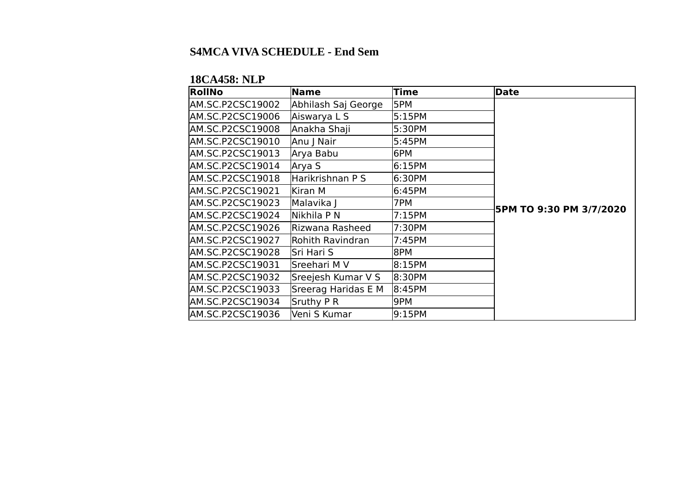### **18CA458: NLP**

| <b>RollNo</b>    | Name                | <b>Time</b> | Date                    |
|------------------|---------------------|-------------|-------------------------|
| AM.SC.P2CSC19002 | Abhilash Saj George | 5PM         |                         |
| AM.SC.P2CSC19006 | Aiswarya L S        | 5:15PM      |                         |
| AM.SC.P2CSC19008 | Anakha Shaji        | 5:30PM      |                         |
| AM.SC.P2CSC19010 | Anu J Nair          | 5:45PM      |                         |
| AM.SC.P2CSC19013 | Arya Babu           | l6PM        |                         |
| AM.SC.P2CSC19014 | Arya S              | 6:15PM      |                         |
| AM.SC.P2CSC19018 | Harikrishnan P S    | 6:30PM      |                         |
| AM.SC.P2CSC19021 | Kiran M             | 6:45PM      |                         |
| AM.SC.P2CSC19023 | Malavika J          | 7PM         | 5PM TO 9:30 PM 3/7/2020 |
| AM.SC.P2CSC19024 | Nikhila P N         | 7:15PM      |                         |
| AM.SC.P2CSC19026 | Rizwana Rasheed     | 7:30PM      |                         |
| AM.SC.P2CSC19027 | Rohith Ravindran    | 7:45PM      |                         |
| AM.SC.P2CSC19028 | lSri Hari S         | 8PM         |                         |
| AM.SC.P2CSC19031 | Sreehari M V        | 8:15PM      |                         |
| AM.SC.P2CSC19032 | Sreejesh Kumar V S  | 8:30PM      |                         |
| AM.SC.P2CSC19033 | Sreerag Haridas E M | 8:45PM      |                         |
| AM.SC.P2CSC19034 | Sruthy P R          | 9PM         |                         |
| AM.SC.P2CSC19036 | lVeni S Kumar       | 9:15PM      |                         |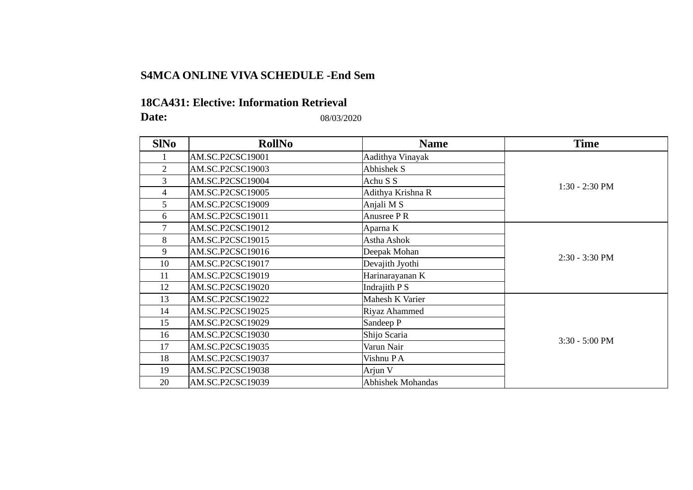### **S4MCA ONLINE VIVA SCHEDULE -End Sem**

#### **18CA431: Elective: Information Retrieval**

**Date:** 08/03/2020

| <b>SINo</b>    | <b>RollNo</b>    | <b>Name</b>              | <b>Time</b>      |
|----------------|------------------|--------------------------|------------------|
|                | AM.SC.P2CSC19001 | Aadithya Vinayak         |                  |
| $\overline{2}$ | AM.SC.P2CSC19003 | Abhishek S               |                  |
| 3              | AM.SC.P2CSC19004 | Achu S S                 | 1:30 - 2:30 PM   |
| 4              | AM.SC.P2CSC19005 | Adithya Krishna R        |                  |
| 5              | AM.SC.P2CSC19009 | Anjali M S               |                  |
| 6              | AM.SC.P2CSC19011 | Anusree PR               |                  |
| 7              | AM.SC.P2CSC19012 | Aparna K                 |                  |
| 8              | AM.SC.P2CSC19015 | Astha Ashok              |                  |
| 9              | AM.SC.P2CSC19016 | Deepak Mohan             | 2:30 - 3:30 PM   |
| 10             | AM.SC.P2CSC19017 | Devajith Jyothi          |                  |
| 11             | AM.SC.P2CSC19019 | Harinarayanan K          |                  |
| 12             | AM.SC.P2CSC19020 | Indrajith P S            |                  |
| 13             | AM.SC.P2CSC19022 | Mahesh K Varier          |                  |
| 14             | AM.SC.P2CSC19025 | Riyaz Ahammed            |                  |
| 15             | AM.SC.P2CSC19029 | Sandeep P                |                  |
| 16             | AM.SC.P2CSC19030 | Shijo Scaria             |                  |
| 17             | AM.SC.P2CSC19035 | Varun Nair               | $3:30 - 5:00$ PM |
| 18             | AM.SC.P2CSC19037 | Vishnu PA                |                  |
| 19             | AM.SC.P2CSC19038 | Arjun V                  |                  |
| 20             | AM.SC.P2CSC19039 | <b>Abhishek Mohandas</b> |                  |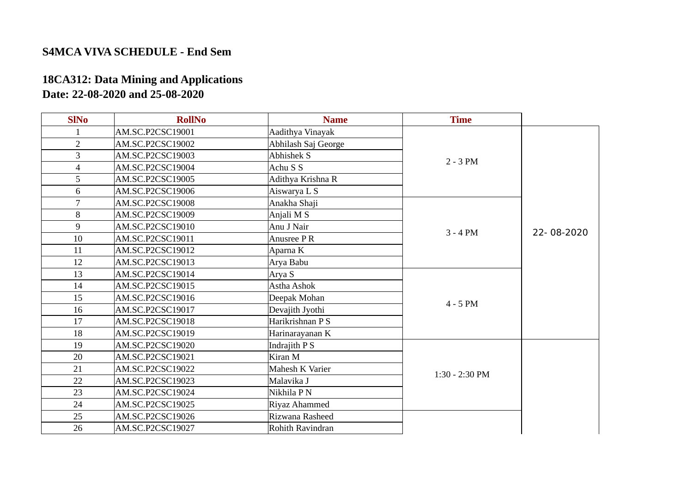## **18CA312: Data Mining and Applications Date: 22-08-2020 and 25-08-2020**

| <b>SINo</b>    | <b>RollNo</b>    | <b>Name</b>         | <b>Time</b>      |            |
|----------------|------------------|---------------------|------------------|------------|
| $\mathbf{1}$   | AM.SC.P2CSC19001 | Aadithya Vinayak    |                  |            |
| $\overline{2}$ | AM.SC.P2CSC19002 | Abhilash Saj George |                  |            |
| 3              | AM.SC.P2CSC19003 | <b>Abhishek S</b>   | $2 - 3 PM$       |            |
| 4              | AM.SC.P2CSC19004 | Achu S S            |                  |            |
| 5              | AM.SC.P2CSC19005 | Adithya Krishna R   |                  |            |
| 6              | AM.SC.P2CSC19006 | Aiswarya L S        |                  |            |
| 7              | AM.SC.P2CSC19008 | Anakha Shaji        |                  |            |
| 8              | AM.SC.P2CSC19009 | Anjali M S          |                  |            |
| 9              | AM.SC.P2CSC19010 | Anu J Nair          | $3 - 4 PM$       | 22-08-2020 |
| 10             | AM.SC.P2CSC19011 | Anusree PR          |                  |            |
| 11             | AM.SC.P2CSC19012 | Aparna K            |                  |            |
| 12             | AM.SC.P2CSC19013 | Arya Babu           |                  |            |
| 13             | AM.SC.P2CSC19014 | Arya S              |                  |            |
| 14             | AM.SC.P2CSC19015 | Astha Ashok         |                  |            |
| 15             | AM.SC.P2CSC19016 | Deepak Mohan        | $4 - 5$ PM       |            |
| 16             | AM.SC.P2CSC19017 | Devajith Jyothi     |                  |            |
| 17             | AM.SC.P2CSC19018 | Harikrishnan P S    |                  |            |
| 18             | AM.SC.P2CSC19019 | Harinarayanan K     |                  |            |
| 19             | AM.SC.P2CSC19020 | Indrajith P S       |                  |            |
| 20             | AM.SC.P2CSC19021 | Kiran M             |                  |            |
| 21             | AM.SC.P2CSC19022 | Mahesh K Varier     | $1:30 - 2:30$ PM |            |
| 22             | AM.SC.P2CSC19023 | Malavika J          |                  |            |
| 23             | AM.SC.P2CSC19024 | Nikhila P N         |                  |            |
| 24             | AM.SC.P2CSC19025 | Riyaz Ahammed       |                  |            |
| 25             | AM.SC.P2CSC19026 | Rizwana Rasheed     |                  |            |
| 26             | AM.SC.P2CSC19027 | Rohith Ravindran    |                  |            |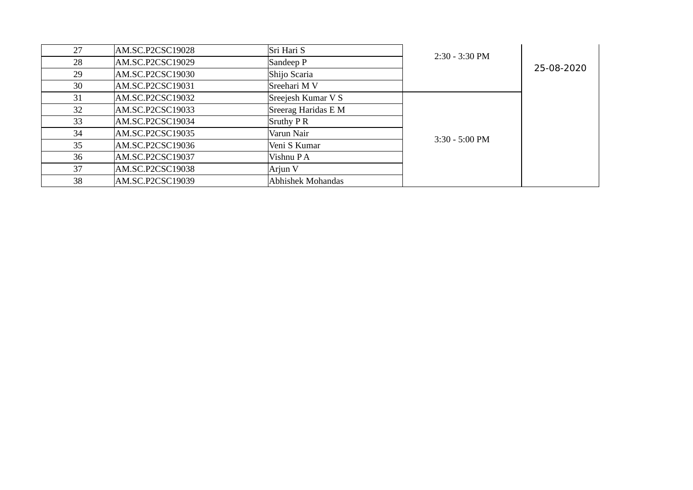| 27 | AM.SC.P2CSC19028 | Sri Hari S          | $2:30 - 3:30$ PM         |            |
|----|------------------|---------------------|--------------------------|------------|
| 28 | AM.SC.P2CSC19029 | Sandeep P           |                          | 25-08-2020 |
| 29 | AM.SC.P2CSC19030 | Shijo Scaria        |                          |            |
| 30 | AM.SC.P2CSC19031 | Sreehari M V        |                          |            |
| 31 | AM.SC.P2CSC19032 | Sreejesh Kumar V S  |                          |            |
| 32 | AM.SC.P2CSC19033 | Sreerag Haridas E M |                          |            |
| 33 | AM.SC.P2CSC19034 | Sruthy P R          |                          |            |
| 34 | AM.SC.P2CSC19035 | Varun Nair          | $3:30 - 5:00 \text{ PM}$ |            |
| 35 | AM.SC.P2CSC19036 | Veni S Kumar        |                          |            |
| 36 | AM.SC.P2CSC19037 | Vishnu PA           |                          |            |
| 37 | AM.SC.P2CSC19038 | Arjun V             |                          |            |
| 38 | AM.SC.P2CSC19039 | Abhishek Mohandas   |                          |            |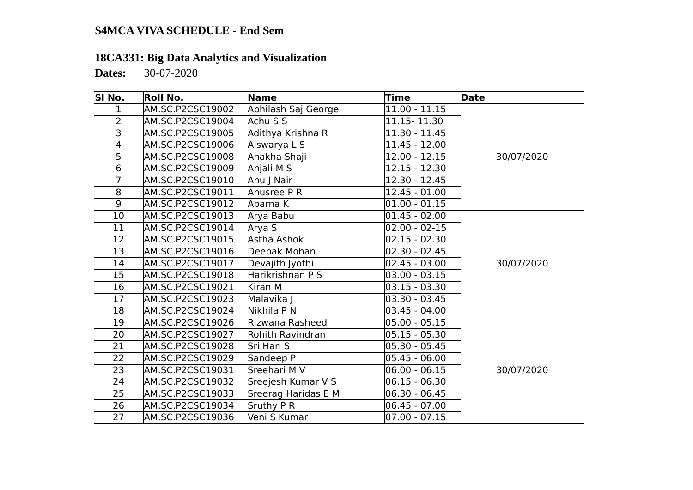## **18CA331: Big Data Analytics and Visualization**

**Dates:** 30-07-2020

| SI No.                  | Roll No.                | Name                | Time              | Date       |
|-------------------------|-------------------------|---------------------|-------------------|------------|
| 1                       | <b>AM.SC.P2CSC19002</b> | Abhilash Saj George | $11.00 - 11.15$   |            |
| $\overline{2}$          | AM.SC.P2CSC19004        | Achu S S            | 11.15 - 11.30     |            |
| 3                       | AM.SC.P2CSC19005        | Adithya Krishna R   | 11.30 - 11.45     |            |
| $\overline{\mathbf{4}}$ | AM.SC.P2CSC19006        | Aiswarya L S        | 11.45 - 12.00     |            |
| 5                       | <b>AM.SC.P2CSC19008</b> | Anakha Shaji        | $12.00 - 12.15$   | 30/07/2020 |
| $6\overline{6}$         | <b>AM.SC.P2CSC19009</b> | Anjali M S          | $12.15 - 12.30$   |            |
| $\overline{7}$          | AM.SC.P2CSC19010        | Anu J Nair          | $12.30 - 12.45$   |            |
| 8                       | AM.SC.P2CSC19011        | Anusree P R         | $12.45 - 01.00$   |            |
| 9                       | <b>AM.SC.P2CSC19012</b> | Aparna K            | $01.00 - 01.15$   |            |
| 10                      | AM.SC.P2CSC19013        | Arya Babu           | $01.45 - 02.00$   |            |
| 11                      | AM.SC.P2CSC19014        | Arya S              | $02.00 - 02 - 15$ |            |
| 12                      | AM.SC.P2CSC19015        | Astha Ashok         | $02.15 - 02.30$   |            |
| 13                      | AM.SC.P2CSC19016        | Deepak Mohan        | 02.30 - 02.45     |            |
| 14                      | AM.SC.P2CSC19017        | Devajith Jyothi     | $02.45 - 03.00$   | 30/07/2020 |
| 15                      | AM.SC.P2CSC19018        | Harikrishnan P S    | $03.00 - 03.15$   |            |
| 16                      | <b>AM.SC.P2CSC19021</b> | Kiran M             | $03.15 - 03.30$   |            |
| 17                      | AM.SC.P2CSC19023        | Malavika J          | 03.30 - 03.45     |            |
| 18                      | AM.SC.P2CSC19024        | Nikhila P N         | 03.45 - 04.00     |            |
| 19                      | <b>AM.SC.P2CSC19026</b> | Rizwana Rasheed     | $05.00 - 05.15$   |            |
| 20                      | AM.SC.P2CSC19027        | Rohith Ravindran    | $05.15 - 05.30$   |            |
| 21                      | <b>AM.SC.P2CSC19028</b> | Sri Hari S          | 05.30 - 05.45     |            |
| 22                      | <b>AM.SC.P2CSC19029</b> | Sandeep P           | 05.45 - 06.00     |            |
| 23                      | AM.SC.P2CSC19031        | Sreehari M V        | $ 06.00 - 06.15 $ | 30/07/2020 |
| 24                      | AM.SC.P2CSC19032        | Sreejesh Kumar V S  | 06.15 - 06.30     |            |
| 25                      | AM.SC.P2CSC19033        | Sreerag Haridas E M | 06.30 - 06.45     |            |
| 26                      | AM.SC.P2CSC19034        | Sruthy P R          | $06.45 - 07.00$   |            |
| 27                      | AM.SC.P2CSC19036        | Veni S Kumar        | $07.00 - 07.15$   |            |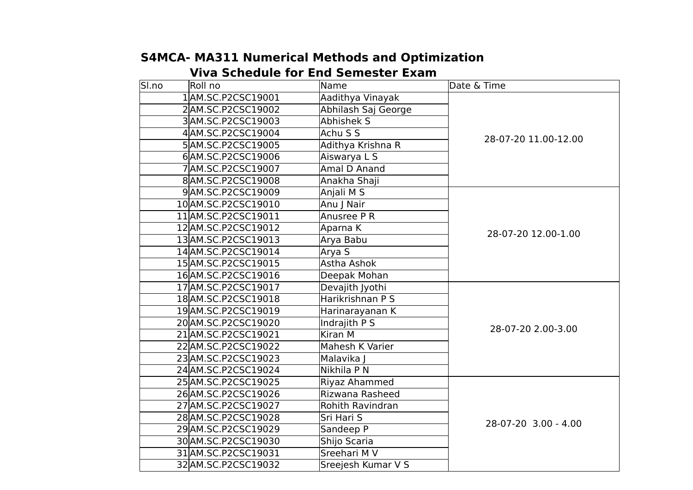| SI.no | Roll no             | Name                | Date & Time          |
|-------|---------------------|---------------------|----------------------|
|       | 1AM.SC.P2CSC19001   | Aadithya Vinayak    |                      |
|       | 2AM.SC.P2CSC19002   | Abhilash Saj George |                      |
|       | 3AM.SC.P2CSC19003   | <b>Abhishek S</b>   |                      |
|       | 4 AM.SC.P2CSC19004  | Achu S S            | 28-07-20 11.00-12.00 |
|       | 5AM.SC.P2CSC19005   | Adithya Krishna R   |                      |
|       | 6AM.SC.P2CSC19006   | Aiswarya L S        |                      |
|       | 7 AM.SC.P2CSC19007  | Amal D Anand        |                      |
|       | 8AM.SC.P2CSC19008   | Anakha Shaji        |                      |
|       | 9AM.SC.P2CSC19009   | Anjali M S          |                      |
|       | 10 AM.SC.P2CSC19010 | Anu J Nair          |                      |
|       | 11 AM.SC.P2CSC19011 | Anusree P R         |                      |
|       | 12 AM.SC.P2CSC19012 | Aparna K            | 28-07-20 12.00-1.00  |
|       | 13AM.SC.P2CSC19013  | Arya Babu           |                      |
|       | 14 AM.SC.P2CSC19014 | Arya S              |                      |
|       | 15 AM.SC.P2CSC19015 | Astha Ashok         |                      |
|       | 16AM.SC.P2CSC19016  | Deepak Mohan        |                      |
|       | 17 AM.SC.P2CSC19017 | Devajith Jyothi     |                      |
|       | 18 AM.SC.P2CSC19018 | Harikrishnan P S    |                      |
|       | 19 AM.SC.P2CSC19019 | Harinarayanan K     |                      |
|       | 20 AM.SC.P2CSC19020 | <b>Indrajith PS</b> | 28-07-20 2.00-3.00   |
|       | 21 AM.SC.P2CSC19021 | Kiran M             |                      |
|       | 22 AM.SC.P2CSC19022 | Mahesh K Varier     |                      |
|       | 23 AM.SC.P2CSC19023 | Malavika J          |                      |
|       | 24 AM.SC.P2CSC19024 | Nikhila P N         |                      |
|       | 25AM.SC.P2CSC19025  | Riyaz Ahammed       |                      |
|       | 26 AM.SC.P2CSC19026 | Rizwana Rasheed     |                      |
|       | 27 AM.SC.P2CSC19027 | Rohith Ravindran    |                      |
|       | 28 AM.SC.P2CSC19028 | Sri Hari S          | 28-07-20 3.00 - 4.00 |
|       | 29 AM.SC.P2CSC19029 | Sandeep P           |                      |
|       | 30 AM.SC.P2CSC19030 | Shijo Scaria        |                      |
|       | 31 AM.SC.P2CSC19031 | Sreehari M V        |                      |
|       | 32 AM.SC.P2CSC19032 | Sreejesh Kumar V S  |                      |

## **S4MCA- MA311 Numerical Methods and Optimization Viva Schedule for End Semester Exam**